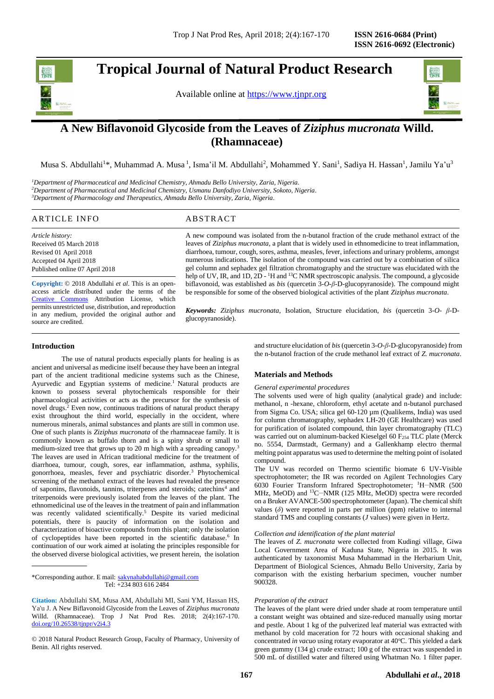# **Tropical Journal of Natural Product Research**

Available online at [https://www.tjnpr.org](https://www.tjnpr.org/)



# **A New Biflavonoid Glycoside from the Leaves of** *Ziziphus mucronata* **Willd. (Rhamnaceae)**

Musa S. Abdullahi<sup>1</sup>\*, Muhammad A. Musa <sup>1</sup>, Isma'il M. Abdullahi<sup>2</sup>, Mohammed Y. Sani<sup>1</sup>, Sadiya H. Hassan<sup>1</sup>, Jamilu Ya'u<sup>3</sup>

*<sup>1</sup>Department of Pharmaceutical and Medicinal Chemistry, Ahmadu Bello University, Zaria, Nigeria. <sup>2</sup>Department of Pharmaceutical and Medicinal Chemistry, Usmanu Danfodiyo University, Sokoto, Nigeria. <sup>3</sup>Department of Pharmacology and Therapeutics, Ahmadu Bello University, Zaria, Nigeria.*

# ARTICLE INFO ABSTRACT

*Article history:* Received 05 March 2018 Revised 01 April 2018 Accepted 04 April 2018 Published online 07 April 2018

**Copyright:** © 2018 Abdullahi *et al*. This is an openaccess article distributed under the terms of the [Creative Commons](https://creativecommons.org/licenses/by/4.0/) Attribution License, which permits unrestricted use, distribution, and reproduction in any medium, provided the original author and source are credited.

#### A new compound was isolated from the n-butanol fraction of the crude methanol extract of the leaves of *Ziziphus mucronata,* a plant that is widely used in ethnomedicine to treat inflammation, diarrhoea, tumour, cough, sores, asthma, measles, fever, infections and urinary problems, amongst numerous indications. The isolation of the compound was carried out by a combination of silica gel column and sephadex gel filtration chromatography and the structure was elucidated with the help of UV, IR, and 1D, 2D - <sup>1</sup>H and <sup>13</sup>C NMR spectroscopic analysis. The compound, a glycoside biflavonoid, was established as *bis* (quercetin 3-*O*-*β*-D-glucopyranoside). The compound might be responsible for some of the observed biological activities of the plant *Ziziphus mucronata*.

*Keywords: Ziziphus mucronata*, Isolation, Structure elucidation, *bis* (quercetin 3-*O*- *β*-Dglucopyranoside).

# **Introduction**

The use of natural products especially plants for healing is as ancient and universal as medicine itself because they have been an integral part of the ancient traditional medicine systems such as the Chinese, Ayurvedic and Egyptian systems of medicine.<sup>1</sup> Natural products are known to possess several phytochemicals responsible for their pharmacological activities or acts as the precursor for the synthesis of novel drugs.<sup>2</sup> Even now, continuous traditions of natural product therapy exist throughout the third world, especially in the occident, where numerous minerals, animal substances and plants are still in common use. One of such plants is *Ziziphus mucronata* of the rhamnaceae family. It is commonly known as buffalo thorn and is a spiny shrub or small to medium-sized tree that grows up to 20 m high with a spreading canopy.<sup>3</sup> The leaves are used in African traditional medicine for the treatment of diarrhoea, tumour, cough, sores, ear inflammation, asthma, syphilis, gonorrhoea, measles, fever and psychiatric disorder.<sup>3</sup> Phytochemical screening of the methanol extract of the leaves had revealed the presence of saponins, flavonoids, tannins, triterpenes and steroids; catechins<sup>4</sup> and triterpenoids were previously isolated from the leaves of the plant. The ethnomedicinal use of the leaves in the treatment of pain and inflammation was recently validated scientifically.<sup>5</sup> Despite its varied medicinal potentials, there is paucity of information on the isolation and characterization of bioactive compounds from this plant; only the isolation of cyclopeptides have been reported in the scientific database.<sup>6</sup> In continuation of our work aimed at isolating the principles responsible for the observed diverse biological activities, we present herein, the isolation

\*Corresponding author. E mail: [sakynahabdullahi@gmail.com](mailto:smabdullahi@abu.edu.ng)  Tel: +234 803 616 2484

© 2018 Natural Product Research Group, Faculty of Pharmacy, University of Benin. All rights reserved.

and structure elucidation of *bis* (quercetin 3-*O*-*β*-D-glucopyranoside) from the n-butanol fraction of the crude methanol leaf extract of *Z. mucronata*.

# **Materials and Methods**

#### *General experimental procedures*

The solvents used were of high quality (analytical grade) and include: methanol, n -hexane, chloroform, ethyl acetate and n-butanol purchased from Sigma Co. USA; silica gel 60-120 µm (Qualikems, India) was used for column chromatography, sephadex LH-20 (GE Healthcare) was used for purification of isolated compound, thin layer chromatography (TLC) was carried out on aluminum-backed Kieselgel 60 F<sub>254</sub> TLC plate (Merck no. 5554, Darmstadt, Germany) and a Gallenkhamp electro thermal melting point apparatus was used to determine the melting point of isolated compound.

The UV was recorded on Thermo scientific biomate 6 UV-Visible spectrophotometer; the IR was recorded on Agilent Technologies Cary 6030 Fourier Transform Infrared Spectrophotometer; <sup>1</sup>H-NMR (500 MHz, MeOD) and <sup>13</sup>C-NMR (125 MHz, MeOD) spectra were recorded on a Bruker AVANCE-500 spectrophotometer (Japan). The chemical shift values (*δ*) were reported in parts per million (ppm) relative to internal standard TMS and coupling constants (*J* values) were given in Hertz.

#### *Collection and identification of the plant material*

The leaves of *Z. mucronata* were collected from Kudingi village, Giwa Local Government Area of Kaduna State, Nigeria in 2015. It was authenticated by taxonomist Musa Muhammad in the Herbarium Unit, Department of Biological Sciences, Ahmadu Bello University, Zaria by comparison with the existing herbarium specimen, voucher number 900328.

#### *Preparation of the extract*

The leaves of the plant were dried under shade at room temperature until a constant weight was obtained and size-reduced manually using mortar and pestle. About 1 kg of the pulverized leaf material was extracted with methanol by cold maceration for 72 hours with occasional shaking and concentrated *in vacuo* using rotary evaporator at 40°C. This yielded a dark green gummy (134 g) crude extract; 100 g of the extract was suspended in 500 mL of distilled water and filtered using Whatman No. 1 filter paper.

**Citation:** Abdullahi SM, Musa AM, Abdullahi MI, Sani YM, Hassan HS, Ya'u J. A New Biflavonoid Glycoside from the Leaves of *Ziziphus mucronata*  Willd. (Rhamnaceae). Trop J Nat Prod Res. 2018; 2(4):167-170. [doi.org/10.26538/tjnpr/v2i4.3](http://www.doi.org/10.26538/tjnpr/v1i4.5)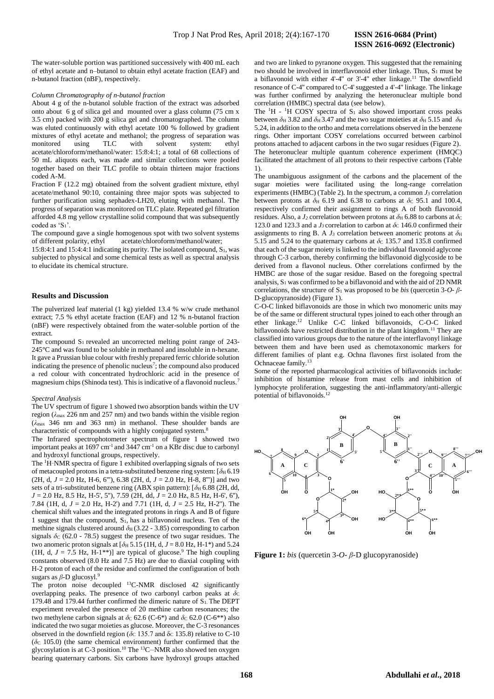The water-soluble portion was partitioned successively with 400 mL each of ethyl acetate and n–butanol to obtain ethyl acetate fraction (EAF) and n-butanol fraction (nBF), respectively.

#### *Column Chromatography of n-butanol fraction*

About 4 g of the n-butanol soluble fraction of the extract was adsorbed onto about 6 g of silica gel and mounted over a glass column (75 cm x 3.5 cm) packed with 200 g silica gel and chromatographed. The column was eluted continuously with ethyl acetate 100 % followed by gradient mixtures of ethyl acetate and methanol; the progress of separation was monitored using TLC with solvent system: ethyl acetate/chloroform/methanol/water: 15:8:4:1; a total of 68 collections of 50 mL aliquots each, was made and similar collections were pooled together based on their TLC profile to obtain thirteen major fractions coded A-M.

Fraction F (12.2 mg) obtained from the solvent gradient mixture, ethyl acetate/methanol 90:10, containing three major spots was subjected to further purification using sephadex-LH20, eluting with methanol. The progress of separation was monitored on TLC plate. Repeated gel filtration afforded 4.8 mg yellow crystalline solid compound that was subsequently coded as 'S<sub>1</sub>'.

The compound gave a single homogenous spot with two solvent systems of different polarity, ethyl acetate/chloroform/methanol/water;

15:8:4:1 and 15:4:4:1 indicating its purity. The isolated compound, S1, was subjected to physical and some chemical tests as well as spectral analysis to elucidate its chemical structure.

# **Results and Discussion**

The pulverized leaf material (1 kg) yielded 13.4 % w/w crude methanol extract; 7.5 % ethyl acetate fraction (EAF) and 12 % n-butanol fraction (nBF) were respectively obtained from the water-soluble portion of the extract.

The compound  $S_1$  revealed an uncorrected melting point range of 243-245°C and was found to be soluble in methanol and insoluble in n-hexane. It gave a Prussian blue colour with freshly prepared ferric chloride solution indicating the presence of phenolic nucleus<sup>7</sup>; the compound also produced a red colour with concentrated hydrochloric acid in the presence of magnesium chips (Shinoda test). This is indicative of a flavonoid nucleus.<sup>7</sup>

#### *Spectral Analysis*

The UV spectrum of figure 1 showed two absorption bands within the UV region (*λ*max 226 nm and 257 nm) and two bands within the visible region (*λ*max 346 nm and 363 nm) in methanol. These shoulder bands are characteristic of compounds with a highly conjugated system.<sup>8</sup>

The Infrared spectrophotometer spectrum of figure 1 showed two important peaks at 1697 cm-1 and 3447 cm-1 on a KBr disc due to carbonyl and hydroxyl functional groups, respectively.

The <sup>1</sup>H-NMR spectra of figure 1 exhibited overlapping signals of two sets of metacoupled protons in a tetra-substituted benzene ring system:  $[\delta_{\text{H}} 6.19]$ (2H, d, *J* = 2.0 Hz, H-6, 6'''), 6.38 (2H, d, *J* = 2.0 Hz, H-8, 8''')] and two sets of a tri-substituted benzene ring (ABX spin pattern):  $\delta H$  6.88 (2H, dd, *J* = 2.0 Hz, 8.5 Hz, H-5', 5''), 7.59 (2H, dd, *J* = 2.0 Hz, 8.5 Hz, H-6', 6''), 7.84 (1H, d, *J* = 2.0 Hz, H-2') and 7.71 (1H, d, *J* = 2.5 Hz, H-2''). The chemical shift values and the integrated protons in rings A and B of figure 1 suggest that the compound, S1, has a biflavonoid nucleus. Ten of the methine signals clustered around  $\delta_H$  (3.22 - 3.85) corresponding to carbon signals  $\delta c$  (62.0 - 78.5) suggest the presence of two sugar residues. The two anomeric proton signals at  $[\delta_H 5.15 (1H, d, J = 8.0 Hz, H-1*)$  and 5.24 (1H, d,  $J = 7.5$  Hz, H-1<sup>\*\*</sup>)] are typical of glucose.<sup>9</sup> The high coupling constants observed (8.0 Hz and 7.5 Hz) are due to diaxial coupling with H-2 proton of each of the residue and confirmed the configuration of both sugars as *β*-D glucosyl.<sup>9</sup>

The proton noise decoupled <sup>13</sup>C-NMR disclosed 42 significantly overlapping peaks. The presence of two carbonyl carbon peaks at  $\delta c$ 179.48 and 179.44 further confirmed the dimeric nature of  $S_1$ . The DEPT experiment revealed the presence of 20 methine carbon resonances; the two methylene carbon signals at  $\delta$ c 62.6 (C-6<sup>\*</sup>) and  $\delta$ c 62.0 (C-6<sup>\*\*</sup>) also indicated the two sugar moieties as glucose. Moreover, the C-3 resonances observed in the downfield region ( $\delta$ <sub>C</sub> 135.7 and  $\delta$ <sub>C</sub> 135.8) relative to C-10  $(6c 105.0)$  (the same chemical environment) further confirmed that the glycosylation is at C-3 position.<sup>10</sup> The  $^{13}$ C-NMR also showed ten oxygen bearing quaternary carbons. Six carbons have hydroxyl groups attached

and two are linked to pyranone oxygen. This suggested that the remaining two should be involved in interflavonoid ether linkage. Thus,  $S_1$  must be a biflavonoid with either 4'-4" or 3'-4" ether linkage.<sup>11</sup> The downfield resonance of C-4'' compared to C-4' suggested a 4'-4'' linkage. The linkage was further confirmed by analyzing the heteronuclear multiple bond correlation (HMBC) spectral data (see below).

The  ${}^{1}H$  -  ${}^{1}H$  COSY spectra of  $S_1$  also showed important cross peaks between  $\delta$ H 3.82 and  $\delta$ H 3.47 and the two sugar moieties at  $\delta$ H 5.15 and  $\delta$ H 5.24, in addition to the ortho and meta correlations observed in the benzene rings. Other important COSY correlations occurred between carbinol protons attached to adjacent carbons in the two sugar residues (Figure 2). The heteronuclear multiple quantum coherence experiment (HMQC) facilitated the attachment of all protons to their respective carbons (Table 1).

The unambiguous assignment of the carbons and the placement of the sugar moieties were facilitated using the long-range correlation experiments (HMBC) (Table 2). In the spectrum, a common *J<sup>3</sup>* correlation between protons at  $\delta_H$  6.19 and 6.38 to carbons at  $\delta_C$  95.1 and 100.4, respectively confirmed their assignment to rings A of both flavonoid residues. Also, a  $J_2$  correlation between protons at  $\delta_H$  6.88 to carbons at  $\delta_C$ 123.0 and 123.3 and a  $J_3$  correlation to carbon at  $\delta_c$  146.0 confirmed their assignments to ring B. A  $J_3$  correlation between anomeric protons at  $\delta_H$ 5.15 and 5.24 to the quaternary carbons at  $\delta$ c 135.7 and 135.8 confirmed that each of the sugar moiety is linked to the individual flavonoid aglycone through C-3 carbon, thereby confirming the biflavonoid diglycoside to be derived from a flavonol nucleus. Other correlations confirmed by the HMBC are those of the sugar residue. Based on the foregoing spectral analysis,  $S_1$  was confirmed to be a biflavonoid and with the aid of 2D NMR correlations, the structure of  $S_1$  was proposed to be *bis* (quercetin 3-O-  $\beta$ -D-glucopyranoside) (Figure 1).

C-O-C linked biflavonoids are those in which two monomeric units may be of the same or different structural types joined to each other through an ether linkage.<sup>12</sup> Unlike C-C linked biflavonoids, C-O-C linked biflavonoids have restricted distribution in the plant kingdom.<sup>11</sup> They are classified into various groups due to the nature of the interflavonyl linkage between them and have been used as chemotaxonomic markers for different families of plant e.g. Ochna flavones first isolated from the Ochnaceae family.<sup>13</sup>

Some of the reported pharmacological activities of biflavonoids include: inhibition of histamine release from mast cells and inhibition of lymphocyte proliferation, suggesting the anti-inflammatory/anti-allergic potential of biflavonoids.<sup>12</sup>



**Figure 1:** *bis* (quercetin 3-*O*- *β*-D glucopyranoside)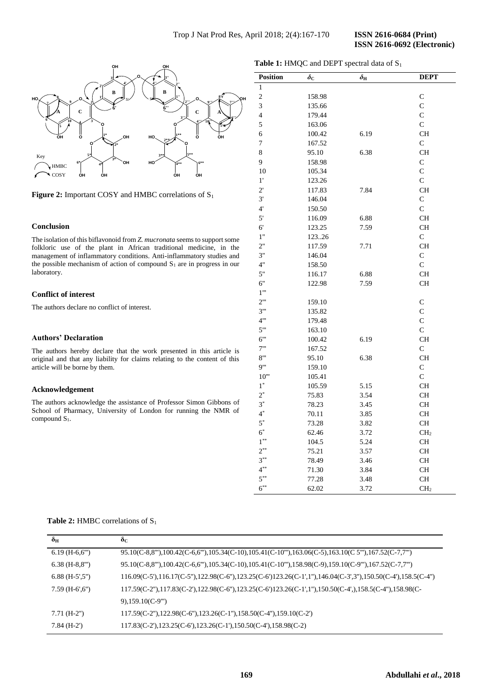

**Figure 2:** Important COSY and HMBC correlations of S<sub>1</sub>

# **Conclusion**

The isolation of this biflavonoid from *Z. mucronata* seems to support some folkloric use of the plant in African traditional medicine, in the management of inflammatory conditions. Anti-inflammatory studies and the possible mechanism of action of compound  $S_1$  are in progress in our laboratory.

# **Conflict of interest**

The authors declare no conflict of interest.

#### **Authors' Declaration**

The authors hereby declare that the work presented in this article is original and that any liability for claims relating to the content of this article will be borne by them.

#### **Acknowledgement**

The authors acknowledge the assistance of Professor Simon Gibbons of School of Pharmacy, University of London for running the NMR of compound S<sub>1</sub>.

|  | Table 1: HMQC and DEPT spectral data of S <sub>1</sub> |  |  |  |  |
|--|--------------------------------------------------------|--|--|--|--|
|--|--------------------------------------------------------|--|--|--|--|

| <b>Position</b>          | $\delta_{\rm C}$ | $\delta_{\rm H}$ | <b>DEPT</b>     |
|--------------------------|------------------|------------------|-----------------|
| $\mathbf{1}$             |                  |                  |                 |
| $\overline{c}$           | 158.98           |                  | C               |
| 3                        | 135.66           |                  | $\mathbf C$     |
| $\overline{4}$           | 179.44           |                  | $\mathsf{C}$    |
| 5                        | 163.06           |                  | $\overline{C}$  |
| 6                        | 100.42           | 6.19             | <b>CH</b>       |
| 7                        | 167.52           |                  | $\mathsf{C}$    |
| 8                        | 95.10            | 6.38             | <b>CH</b>       |
| 9                        | 158.98           |                  | $\mathsf{C}$    |
| 10                       | 105.34           |                  | $\mathsf{C}$    |
| 1'                       | 123.26           |                  | $\mathbf C$     |
| $2^{\prime}$             | 117.83           | 7.84             | <b>CH</b>       |
| 3'                       | 146.04           |                  | $\mathbf C$     |
| $4^{\circ}$              | 150.50           |                  | $\overline{C}$  |
| 5'                       | 116.09           | 6.88             | <b>CH</b>       |
| 6'                       | 123.25           | 7.59             | <b>CH</b>       |
| 1"                       | 12326            |                  | $\mathbf C$     |
| 2"                       | 117.59           | 7.71             | <b>CH</b>       |
| 3"                       | 146.04           |                  | $\mathbf C$     |
| 4"                       | 158.50           |                  | $\mathbf C$     |
| 5"                       | 116.17           | 6.88             | <b>CH</b>       |
| 6"                       | 122.98           | 7.59             | <b>CH</b>       |
| $1^{\prime\prime\prime}$ |                  |                  |                 |
| $2^{\cdots}$             | 159.10           |                  | C               |
| 3"                       | 135.82           |                  | $\mathbf C$     |
| 4"                       | 179.48           |                  | $\overline{C}$  |
| $5$ "                    | 163.10           |                  | $\mathsf{C}$    |
| 6"                       | 100.42           | 6.19             | <b>CH</b>       |
| 7"                       | 167.52           |                  | $\mathbf C$     |
| 8"                       | 95.10            | 6.38             | <b>CH</b>       |
| 9'''                     | 159.10           |                  | $\mathbf C$     |
| 10"                      | 105.41           |                  | $\overline{C}$  |
| $1^*$                    | 105.59           | 5.15             | <b>CH</b>       |
| $2^*$                    | 75.83            | 3.54             | <b>CH</b>       |
| $3^*$                    | 78.23            | 3.45             | <b>CH</b>       |
| $4^*$                    | 70.11            | 3.85             | <b>CH</b>       |
| $5^*$                    | 73.28            | 3.82             | <b>CH</b>       |
| $6^*$                    | 62.46            | 3.72             | CH <sub>2</sub> |
| $1^{**}$                 | 104.5            | 5.24             | <b>CH</b>       |
| $2^{**}$                 | 75.21            | 3.57             | <b>CH</b>       |
| $3^{**}$                 | 78.49            | 3.46             | <b>CH</b>       |
| $4^{**}$                 | 71.30            | 3.84             | <b>CH</b>       |
| $5^{**}$                 | 77.28            | 3.48             | <b>CH</b>       |
| $6^{**}$                 | 62.02            | 3.72             | CH <sub>2</sub> |

# Table 2: HMBC correlations of S<sub>1</sub>

| $\delta_{\rm H}$ | $\delta_{\rm C}$                                                                                                                                      |  |
|------------------|-------------------------------------------------------------------------------------------------------------------------------------------------------|--|
| $6.19(H-6,6")$   | $95.10(C-8,8''), 100.42(C-6,6''), 105.34(C-10), 105.41(C-10''), 163.06(C-5), 163.10(C5''), 167.52(C-7,7'')$                                           |  |
| $6.38$ (H-8,8"") | 95.10(C-8,8"),100.42(C-6,6"),105.34(C-10),105.41(C-10"),158.98(C-9),159.10(C-9"),167.52(C-7,7"')                                                      |  |
| $6.88$ (H-5',5") | $116.09(C-5')$ , $116.17(C-5'')$ , $122.98(C-6'')$ , $123.25(C-6')$ $123.26(C-1')$ , $1'$ ), $146.04(C-3'$ , $3'')$ , $150.50(C-4')$ , $158.5(C-4'')$ |  |
| $7.59$ (H-6',6") | $117.59(C-2'')$ , $117.83(C-2')$ , $122.98(C-6'')$ , $123.25(C-6')$ $123.26(C-1',1'')$ , $150.50(C-4'')$ , $158.5(C-4'')$ , $158.98(C-4'')$           |  |
|                  | $9,159.10(C-9")$                                                                                                                                      |  |
| $7.71(H-2")$     | $117.59(C-2'')$ , $122.98(C-6'')$ , $123.26(C-1'')$ , $158.50(C-4'')$ , $159.10(C-2')$                                                                |  |
| $7.84(H-2')$     | $117.83(C-2')$ , $123.25(C-6')$ , $123.26(C-1')$ , $150.50(C-4')$ , $158.98(C-2)$                                                                     |  |
|                  |                                                                                                                                                       |  |